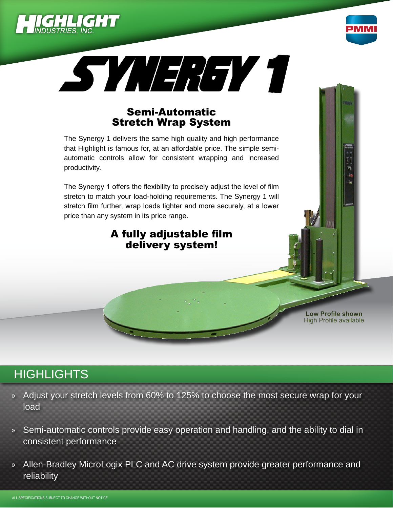





### Semi-Automatic Stretch Wrap System

The Synergy 1 delivers the same high quality and high performance that Highlight is famous for, at an affordable price. The simple semiautomatic controls allow for consistent wrapping and increased productivity.

The Synergy 1 offers the flexibility to precisely adjust the level of film stretch to match your load-holding requirements. The Synergy 1 will stretch film further, wrap loads tighter and more securely, at a lower price than any system in its price range.

### A fully adjustable film delivery system!

**Low Profile shown** High Profile available

# **HIGHLIGHTS**

- » Adjust your stretch levels from 60% to 125% to choose the most secure wrap for your load
- » Semi-automatic controls provide easy operation and handling, and the ability to dial in consistent performance
- » Allen-Bradley MicroLogix PLC and AC drive system provide greater performance and reliability